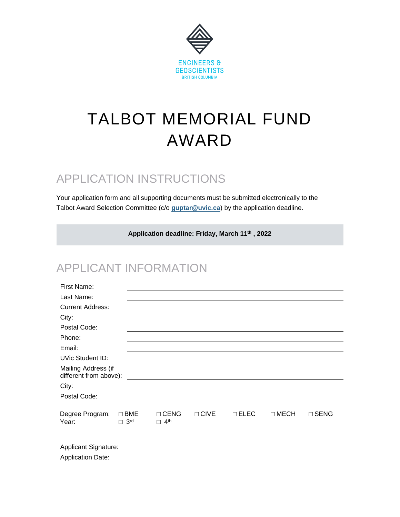

# TALBOT MEMORIAL FUND AWARD

## APPLICATION INSTRUCTIONS

Your application form and all supporting documents must be submitted electronically to the Talbot Award Selection Committee (c/o **[guptar@uvic.ca](mailto:guptar@uvic.ca)**) by the application deadline.

**Application deadline: Friday, March 11 th , 2022**

### APPLICANT INFORMATION

| First Name:                                   |                                      |                                                                                                                                                                                                                                      |               |               |             |             |  |
|-----------------------------------------------|--------------------------------------|--------------------------------------------------------------------------------------------------------------------------------------------------------------------------------------------------------------------------------------|---------------|---------------|-------------|-------------|--|
| Last Name:                                    |                                      |                                                                                                                                                                                                                                      |               |               |             |             |  |
| <b>Current Address:</b>                       |                                      |                                                                                                                                                                                                                                      |               |               |             |             |  |
| City:                                         |                                      |                                                                                                                                                                                                                                      |               |               |             |             |  |
| Postal Code:                                  |                                      |                                                                                                                                                                                                                                      |               |               |             |             |  |
| Phone:                                        |                                      |                                                                                                                                                                                                                                      |               |               |             |             |  |
| Email:                                        |                                      |                                                                                                                                                                                                                                      |               |               |             |             |  |
| <b>UVic Student ID:</b>                       |                                      |                                                                                                                                                                                                                                      |               |               |             |             |  |
| Mailing Address (if<br>different from above): |                                      | <u> 1989 - Jan Stern Stern Stern Stern Stern Stern Stern Stern Stern Stern Stern Stern Stern Stern Stern Stern Stern Stern Stern Stern Stern Stern Stern Stern Stern Stern Stern Stern Stern Stern Stern Stern Stern Stern Stern</u> |               |               |             |             |  |
| City:                                         |                                      |                                                                                                                                                                                                                                      |               |               |             |             |  |
| Postal Code:                                  |                                      |                                                                                                                                                                                                                                      |               |               |             |             |  |
| Degree Program:<br>Year:                      | $\Box$ BME<br>$\Box$ 3 <sup>rd</sup> | $\Box$ CENG<br>$\Box$ 4 <sup>th</sup>                                                                                                                                                                                                | $\sqcap$ CIVE | $\sqcap$ ELEC | $\Box$ MECH | $\Box$ SENG |  |
| <b>Application Date:</b>                      |                                      |                                                                                                                                                                                                                                      |               |               |             |             |  |
|                                               |                                      |                                                                                                                                                                                                                                      |               |               |             |             |  |